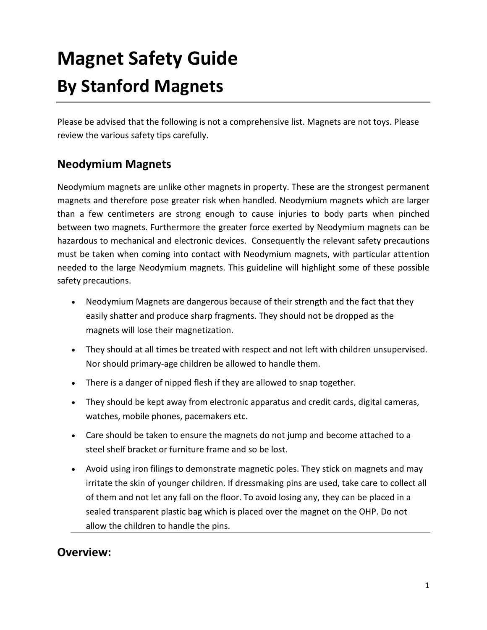# **Magnet Safety Guide By Stanford Magnets**

Please be advised that the following is not a comprehensive list. Magnets are not toys. Please review the various safety tips carefully.

## **Neodymium Magnets**

Neodymium magnets are unlike other magnets in property. These are the strongest permanent magnets and therefore pose greater risk when handled. Neodymium magnets which are larger than a few centimeters are strong enough to cause injuries to body parts when pinched between two magnets. Furthermore the greater force exerted by Neodymium magnets can be hazardous to mechanical and electronic devices. Consequently the relevant safety precautions must be taken when coming into contact with Neodymium magnets, with particular attention needed to the large Neodymium magnets. This guideline will highlight some of these possible safety precautions.

- Neodymium Magnets are dangerous because of their strength and the fact that they easily shatter and produce sharp fragments. They should not be dropped as the magnets will lose their magnetization.
- They should at all times be treated with respect and not left with children unsupervised. Nor should primary-age children be allowed to handle them.
- There is a danger of nipped flesh if they are allowed to snap together.
- They should be kept away from electronic apparatus and credit cards, digital cameras, watches, mobile phones, pacemakers etc.
- Care should be taken to ensure the magnets do not jump and become attached to a steel shelf bracket or furniture frame and so be lost.
- Avoid using iron filings to demonstrate magnetic poles. They stick on magnets and may irritate the skin of younger children. If dressmaking pins are used, take care to collect all of them and not let any fall on the floor. To avoid losing any, they can be placed in a sealed transparent plastic bag which is placed over the magnet on the OHP. Do not allow the children to handle the pins.

### **Overview:**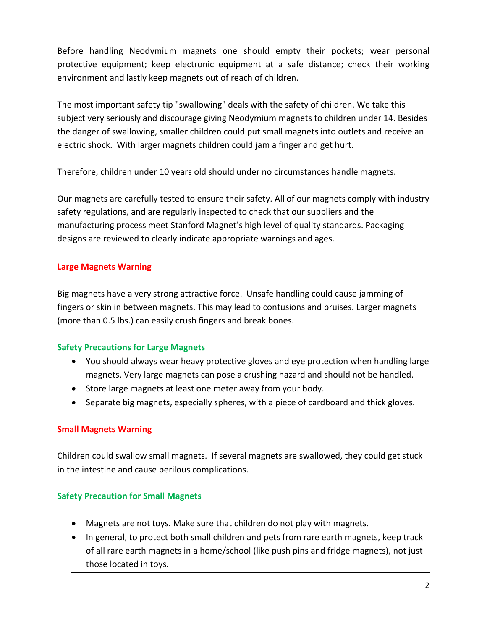Before handling Neodymium magnets one should empty their pockets; wear personal protective equipment; keep electronic equipment at a safe distance; check their working environment and lastly keep magnets out of reach of children.

The most important safety tip "swallowing" deals with the safety of children. We take this subject very seriously and discourage giving Neodymium magnets to children under 14. Besides the danger of swallowing, smaller children could put small magnets into outlets and receive an electric shock. With larger magnets children could jam a finger and get hurt.

Therefore, children under 10 years old should under no circumstances handle magnets.

Our magnets are carefully tested to ensure their safety. All of our magnets comply with industry safety regulations, and are regularly inspected to check that our suppliers and the manufacturing process meet Stanford Magnet's high level of quality standards. Packaging designs are reviewed to clearly indicate appropriate warnings and ages.

#### **Large Magnets Warning**

Big magnets have a very strong attractive force. Unsafe handling could cause jamming of fingers or skin in between magnets. This may lead to contusions and bruises. Larger magnets (more than 0.5 lbs.) can easily crush fingers and break bones.

#### **Safety Precautions for Large Magnets**

- You should always wear heavy protective gloves and eye protection when handling large magnets. Very large magnets can pose a crushing hazard and should not be handled.
- Store large magnets at least one meter away from your body.
- Separate big magnets, especially spheres, with a piece of cardboard and thick gloves.

#### **Small Magnets Warning**

Children could swallow small magnets. If several magnets are swallowed, they could get stuck in the intestine and cause perilous complications.

#### **Safety Precaution for Small Magnets**

- Magnets are not toys. Make sure that children do not play with magnets.
- In general, to protect both small children and pets from rare earth magnets, keep track of all rare earth magnets in a home/school (like push pins and fridge magnets), not just those located in toys.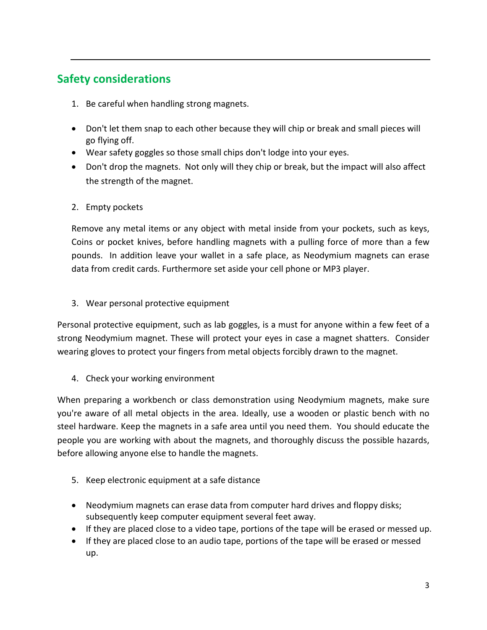# **Safety considerations**

- 1. Be careful when handling strong magnets.
- Don't let them snap to each other because they will chip or break and small pieces will go flying off.
- Wear safety goggles so those small chips don't lodge into your eyes.
- Don't drop the magnets. Not only will they chip or break, but the impact will also affect the strength of the magnet.

#### 2. Empty pockets

Remove any metal items or any object with metal inside from your pockets, such as keys, Coins or pocket knives, before handling magnets with a pulling force of more than a few pounds. In addition leave your wallet in a safe place, as Neodymium magnets can erase data from credit cards. Furthermore set aside your cell phone or MP3 player.

#### 3. Wear personal protective equipment

Personal protective equipment, such as lab goggles, is a must for anyone within a few feet of a strong Neodymium magnet. These will protect your eyes in case a magnet shatters. Consider wearing gloves to protect your fingers from metal objects forcibly drawn to the magnet.

4. Check your working environment

When preparing a workbench or class demonstration using Neodymium magnets, make sure you're aware of all metal objects in the area. Ideally, use a wooden or plastic bench with no steel hardware. Keep the magnets in a safe area until you need them. You should educate the people you are working with about the magnets, and thoroughly discuss the possible hazards, before allowing anyone else to handle the magnets.

- 5. Keep electronic equipment at a safe distance
- Neodymium magnets can erase data from computer hard drives and floppy disks; subsequently keep computer equipment several feet away.
- If they are placed close to a video tape, portions of the tape will be erased or messed up.
- If they are placed close to an audio tape, portions of the tape will be erased or messed up.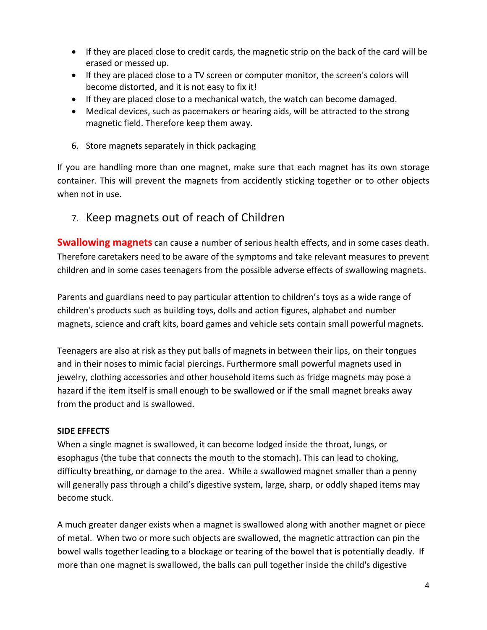- If they are placed close to credit cards, the magnetic strip on the back of the card will be erased or messed up.
- If they are placed close to a TV screen or computer monitor, the screen's colors will become distorted, and it is not easy to fix it!
- If they are placed close to a mechanical watch, the watch can become damaged.
- Medical devices, such as pacemakers or hearing aids, will be attracted to the strong magnetic field. Therefore keep them away.
- 6. Store magnets separately in thick packaging

If you are handling more than one magnet, make sure that each magnet has its own storage container. This will prevent the magnets from accidently sticking together or to other objects when not in use.

7. Keep magnets out of reach of Children

**Swallowing magnets** can cause a number of serious health effects, and in some cases death. Therefore caretakers need to be aware of the symptoms and take relevant measures to prevent children and in some cases teenagers from the possible adverse effects of swallowing magnets.

Parents and guardians need to pay particular attention to children's toys as a wide range of children's products such as building toys, dolls and action figures, alphabet and number magnets, science and craft kits, board games and vehicle sets contain small powerful magnets.

Teenagers are also at risk as they put balls of magnets in between their lips, on their tongues and in their noses to mimic facial piercings. Furthermore small powerful magnets used in jewelry, clothing accessories and other household items such as fridge magnets may pose a hazard if the item itself is small enough to be swallowed or if the small magnet breaks away from the product and is swallowed.

#### **SIDE EFFECTS**

When a single magnet is swallowed, it can become lodged inside the throat, lungs, or esophagus (the tube that connects the mouth to the stomach). This can lead to choking, difficulty breathing, or damage to the area. While a swallowed magnet smaller than a penny will generally pass through a child's digestive system, large, sharp, or oddly shaped items may become stuck.

A much greater danger exists when a magnet is swallowed along with another magnet or piece of metal. When two or more such objects are swallowed, the magnetic attraction can pin the bowel walls together leading to a blockage or tearing of the bowel that is potentially deadly. If more than one magnet is swallowed, the balls can pull together inside the child's digestive